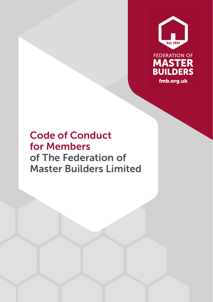



# Code of Conduct for Members of The Federation of Master Builders Limited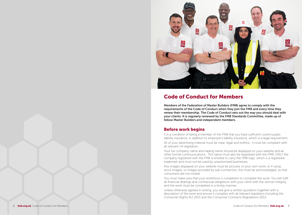

# Code of Conduct for Members

Members of the Federation of Master Builders (FMB) agree to comply with the requirements of the Code of Conduct when they join the FMB and every time they renew their membership. The Code of Conduct sets out the way you should deal with your clients. It is regularly reviewed by the FMB Standards Committee, made up of fellow Master Builders and independent members.

### Before work begins

It is a condition of being a member of the FMB that you have sufficient current public liability insurance, in addition to employer's liability insurance, which is a legal requirement.

All of your advertising material must be clear, legal and truthful. It must be compliant with all relevant UK legislation.

Your full company name and trading name should be displayed on your website and all other formal communications. This name must also be registered with the FMB. ONLY the company registered with the FMB is entitled to carry the FMB logo, which is a registered trademark and must not be used by unauthorised businesses.

Any images displayed on your website must be pictures of your own work, or if using stock images, or images provided by sub-contractors, this must be acknowledged, so that consumers are not misled.

You must make sure that your workforce is competent to complete the work. You will fulfil all financial dealings and contractual obligations with your client with the utmost integrity, and the work must be completed in a timely manner.

Unless otherwise agreed in writing, you will give a written quotation together with a description of the work and ensure it complies with all relevant legislation including the Consumer Rights Act 2015 and the Consumer Contracts Regulations 2013.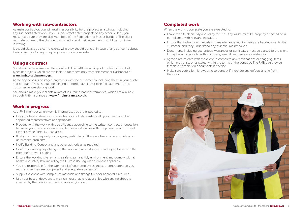### Working with sub-contractors

As main contractor, you will retain responsibility for the project as a whole, including any sub-contracted work. If you subcontract entire projects to any other builder, you must make sure they are also members of the Federation of Master Builders. The client must also agree to the change of contractor and their agreement should be confirmed in writing.

It should always be clear to clients who they should contact in case of any concerns about their project, or for any snagging issues once complete.

### Using a contract

You should always use a written contract. The FMB has a range of contracts to suit all types of projects which are available to members only from the Member Dashboard at www.fmb.org.uk/members.

Agree any deposits or staged payments with the customer by including them in your quote and contract. These should be fair and proportionate. Never take full payment from a customer before starting work.

You should make your clients aware of insurance-backed warranties, which are available through FMB Insurance at www.fmbinsurance.co.uk.

### Work in progress

As a FMB member when work is in progress you are expected to:

- Use your best endeavours to maintain a good relationship with your client and their appointed representatives as appropriate.
- Proceed with the work with due diligence according to the written contract or quotation between you. If you encounter any technical difficulties with the project you must seek further advice. The FMB can assist.
- Brief your client regularly on progress, particularly if there are likely to be any delays or unforeseen problems.
- Notify Building Control and any other authorities as required.
- Confirm in writing any change to the work and any extra costs and agree these with the client before work begins.
- Ensure the working site remains a safe, clean and tidy environment and comply with all health and safety law, including the CDM 2015 Regulations where applicable.
- You are responsible for the work of all of your employees and sub-contractors, so you must ensure they are competent and adequately supervised.
- Supply the client with samples of materials and fittings for prior approval if required.
- Use your best endeavours to maintain reasonable relationships with any neighbours affected by the building works you are carrying out.

## Completed work

When the work is complete you are expected to:

- Leave the site clean, tidy and ready for use. Any waste must be properly disposed of in compliance with relevant legislation.
- Ensure that instruction manuals and maintenance requirements are handed over to the customer, and they understand any essential maintenance.
- Documents including guarantees, warranties or certificates must be passed to the client. It may be an offence to withhold these, even if payments are outstanding.
- Agree a return date with the client to complete any rectifications or snagging items which may arise, or as stated within the terms of the contract. The FMB can provide template completion documents if needed.
- Make sure your client knows who to contact if there are any defects arising from the work.

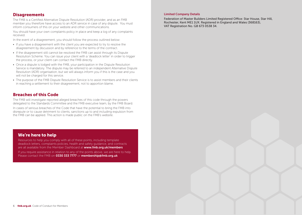### **Disagreements**

The FMB is a Certified Alternative Dispute Resolution (ADR) provider, and as an FMB member you therefore have access to an ADR service in case of any dispute. You must inform consumers of this on your website and other communications.

You should have your own complaints policy in place and keep a log of any complaints received.

In the event of a disagreement, you should follow the process outlined below:

- If you have a disagreement with the client you are expected to try to resolve the disagreement by discussion and by reference to the terms of the contract.
- If the disagreement still cannot be resolved the FMB can assist through its Dispute Resolution Scheme. You can issue your client with a 'deadlock letter' in order to trigger the process, or your client can contact the FMB directly.
- Once a dispute is lodged with the FMB, your participation in the Dispute Resolution Service is mandatory. The dispute may be referred to an independent Alternative Dispute Resolution (ADR) organisation, but we will always inform you if this is the case and you will not be charged for this service.
- The purpose of the FMB Dispute Resolution Service is to assist members and their clients in reaching a settlement to their disagreement, not to apportion blame.

### Breaches of this Code

The FMB will investigate reported alleged breaches of this code through the powers delegated to the Standards Committee and the FMB executive team, by the FMB Board.

In cases of serious breaches of the Code that have the potential to bring the FMB into disrepute or to cause detriment to clients, sanctions up to and including expulsion from the FMB can be applied. This action is made public on the FMB's website.

### We're here to help

Resources to help you comply with all of these points, including template deadlock letters, complaints policies, health and safety guidance, and contracts are all available from the Member Dashboard at www.fmb.org.uk/members

If you require assistance in relation to any of the points above, we are here to help. Please contact the FMB on 0330 333 7777 or membership afmb.org.uk

#### Limited Company Details

Federation of Master Builders Limited Registered Office: Star House, Star Hill, Rochester, Kent ME1 1UX. Registered in England and Wales (368163), VAT Registration No. GB 673 0538 34.